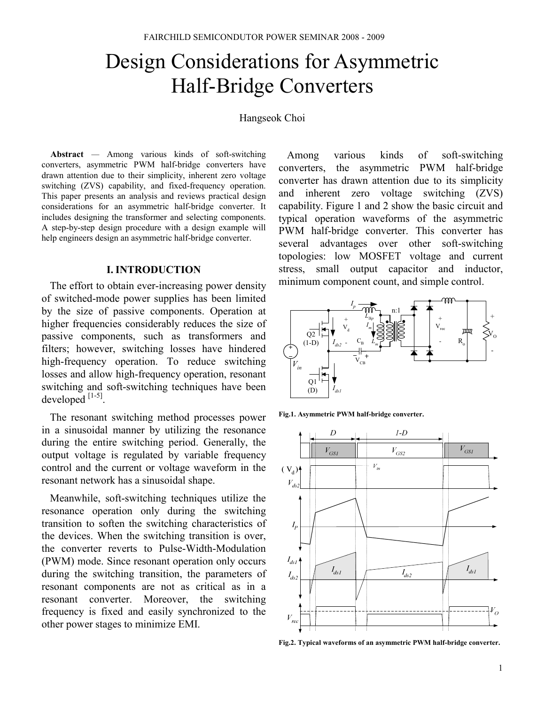# Design Considerations for Asymmetric Half-Bridge Converters

#### Hangseok Choi

Abstract — Among various kinds of soft-switching converters, asymmetric PWM half-bridge converters have drawn attention due to their simplicity, inherent zero voltage switching (ZVS) capability, and fixed-frequency operation. This paper presents an analysis and reviews practical design considerations for an asymmetric half-bridge converter. It includes designing the transformer and selecting components. A step-by-step design procedure with a design example will help engineers design an asymmetric half-bridge converter.

#### I. INTRODUCTION

The effort to obtain ever-increasing power density of switched-mode power supplies has been limited by the size of passive components. Operation at higher frequencies considerably reduces the size of passive components, such as transformers and filters; however, switching losses have hindered high-frequency operation. To reduce switching losses and allow high-frequency operation, resonant switching and soft-switching techniques have been developed  $^{[1-5]}$ .

The resonant switching method processes power in a sinusoidal manner by utilizing the resonance during the entire switching period. Generally, the output voltage is regulated by variable frequency control and the current or voltage waveform in the resonant network has a sinusoidal shape.

Meanwhile, soft-switching techniques utilize the resonance operation only during the switching transition to soften the switching characteristics of the devices. When the switching transition is over, the converter reverts to Pulse-Width-Modulation (PWM) mode. Since resonant operation only occurs during the switching transition, the parameters of resonant components are not as critical as in a resonant converter. Moreover, the switching frequency is fixed and easily synchronized to the other power stages to minimize EMI.

Among various kinds of soft-switching converters, the asymmetric PWM half-bridge converter has drawn attention due to its simplicity and inherent zero voltage switching (ZVS) capability. Figure 1 and 2 show the basic circuit and typical operation waveforms of the asymmetric PWM half-bridge converter. This converter has several advantages over other soft-switching topologies: low MOSFET voltage and current stress, small output capacitor and inductor, minimum component count, and simple control.



Fig.1. Asymmetric PWM half-bridge converter.



Fig.2. Typical waveforms of an asymmetric PWM half-bridge converter.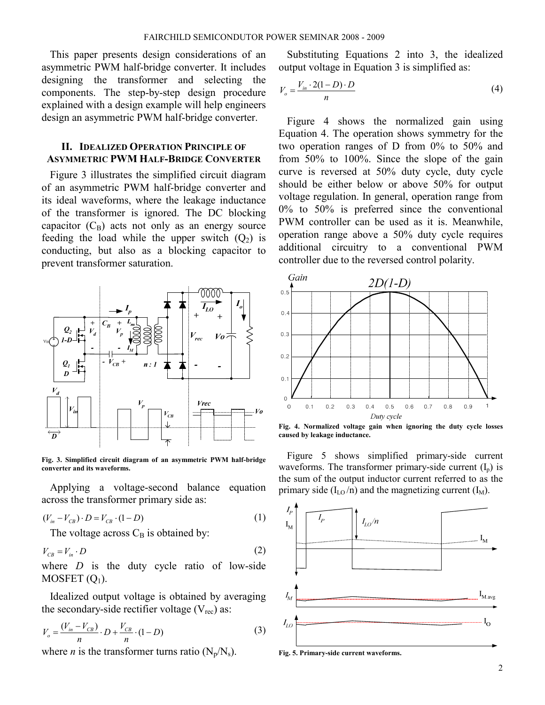This paper presents design considerations of an asymmetric PWM half-bridge converter. It includes designing the transformer and selecting the components. The step-by-step design procedure explained with a design example will help engineers design an asymmetric PWM half-bridge converter.

# II. IDEALIZED OPERATION PRINCIPLE OF ASYMMETRIC PWM HALF-BRIDGE CONVERTER

Figure 3 illustrates the simplified circuit diagram of an asymmetric PWM half-bridge converter and its ideal waveforms, where the leakage inductance of the transformer is ignored. The DC blocking capacitor  $(C_B)$  acts not only as an energy source feeding the load while the upper switch  $(Q_2)$  is conducting, but also as a blocking capacitor to prevent transformer saturation.



Fig. 3. Simplified circuit diagram of an asymmetric PWM half-bridge converter and its waveforms.

Applying a voltage-second balance equation across the transformer primary side as:

$$
(V_{in} - V_{CB}) \cdot D = V_{CB} \cdot (1 - D) \tag{1}
$$

The voltage across  $C_B$  is obtained by:

$$
V_{CB} = V_{in} \cdot D \tag{2}
$$

where  $D$  is the duty cycle ratio of low-side MOSFET  $(Q_1)$ .

Idealized output voltage is obtained by averaging the secondary-side rectifier voltage  $(V_{rec})$  as:

$$
V_o = \frac{(V_{in} - V_{CB})}{n} \cdot D + \frac{V_{CB}}{n} \cdot (1 - D)
$$
 (3)

where *n* is the transformer turns ratio  $(N_p/N_s)$ .

Substituting Equations 2 into 3, the idealized output voltage in Equation 3 is simplified as:

$$
V_o = \frac{V_{in} \cdot 2(1 - D) \cdot D}{n} \tag{4}
$$

Figure 4 shows the normalized gain using Equation 4. The operation shows symmetry for the two operation ranges of D from 0% to 50% and from 50% to 100%. Since the slope of the gain curve is reversed at 50% duty cycle, duty cycle should be either below or above 50% for output voltage regulation. In general, operation range from 0% to 50% is preferred since the conventional PWM controller can be used as it is. Meanwhile, operation range above a 50% duty cycle requires additional circuitry to a conventional PWM controller due to the reversed control polarity.



Fig. 4. Normalized voltage gain when ignoring the duty cycle losses caused by leakage inductance.

Figure 5 shows simplified primary-side current waveforms. The transformer primary-side current  $(I_n)$  is the sum of the output inductor current referred to as the primary side  $(I_{LO}/n)$  and the magnetizing current  $(I_M)$ .



Fig. 5. Primary-side current waveforms.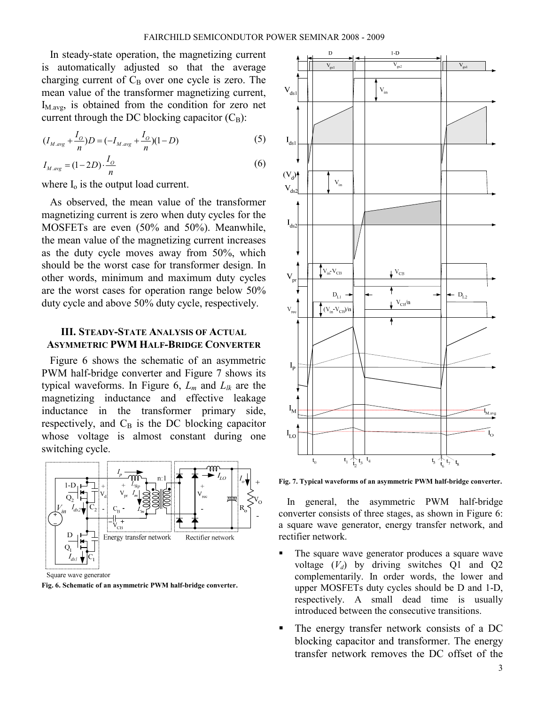In steady-state operation, the magnetizing current is automatically adjusted so that the average charging current of  $C_B$  over one cycle is zero. The mean value of the transformer magnetizing current,  $I_{\text{M-avg}}$ , is obtained from the condition for zero net current through the DC blocking capacitor  $(C_B)$ :

$$
(I_{M,avg} + \frac{I_o}{n})D = (-I_{M,avg} + \frac{I_o}{n})(1 - D)
$$
 (5)

$$
I_{M,avg} = (1 - 2D) \cdot \frac{I_o}{n}
$$
 (6)

where  $I_0$  is the output load current.

As observed, the mean value of the transformer magnetizing current is zero when duty cycles for the MOSFETs are even (50% and 50%). Meanwhile, the mean value of the magnetizing current increases as the duty cycle moves away from 50%, which should be the worst case for transformer design. In other words, minimum and maximum duty cycles are the worst cases for operation range below 50% duty cycle and above 50% duty cycle, respectively.

## III. STEADY-STATE ANALYSIS OF ACTUAL ASYMMETRIC PWM HALF-BRIDGE CONVERTER

Figure 6 shows the schematic of an asymmetric PWM half-bridge converter and Figure 7 shows its typical waveforms. In Figure 6,  $L_m$  and  $L_{lk}$  are the magnetizing inductance and effective leakage inductance in the transformer primary side, respectively, and  $C_B$  is the DC blocking capacitor whose voltage is almost constant during one switching cycle.



Fig. 6. Schematic of an asymmetric PWM half-bridge converter.



Fig. 7. Typical waveforms of an asymmetric PWM half-bridge converter.

In general, the asymmetric PWM half-bridge converter consists of three stages, as shown in Figure 6: a square wave generator, energy transfer network, and rectifier network.

- The square wave generator produces a square wave voltage  $(V_d)$  by driving switches Q1 and Q2 complementarily. In order words, the lower and upper MOSFETs duty cycles should be D and 1-D, respectively. A small dead time is usually introduced between the consecutive transitions.
- The energy transfer network consists of a DC blocking capacitor and transformer. The energy transfer network removes the DC offset of the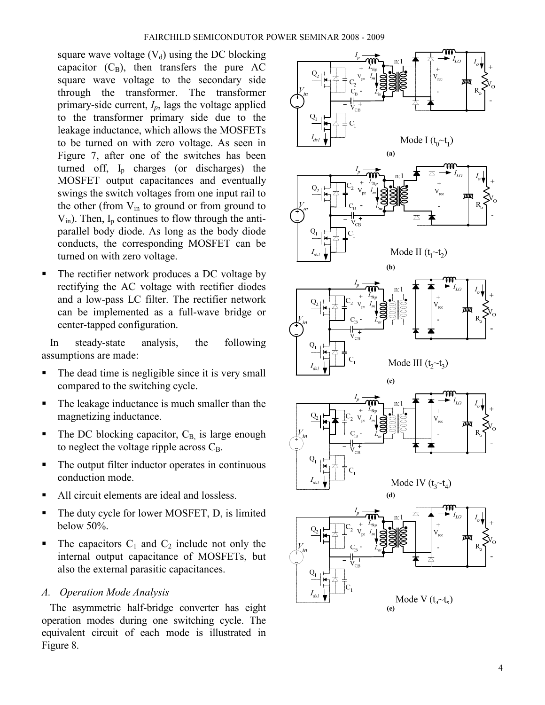square wave voltage  $(V_d)$  using the DC blocking capacitor  $(C_B)$ , then transfers the pure AC square wave voltage to the secondary side through the transformer. The transformer primary-side current,  $I_p$ , lags the voltage applied to the transformer primary side due to the leakage inductance, which allows the MOSFETs to be turned on with zero voltage. As seen in Figure 7, after one of the switches has been turned off,  $I_p$  charges (or discharges) the MOSFET output capacitances and eventually swings the switch voltages from one input rail to the other (from  $V_{in}$  to ground or from ground to  $V_{in}$ ). Then,  $I_p$  continues to flow through the antiparallel body diode. As long as the body diode conducts, the corresponding MOSFET can be turned on with zero voltage.

 The rectifier network produces a DC voltage by rectifying the AC voltage with rectifier diodes and a low-pass LC filter. The rectifier network can be implemented as a full-wave bridge or center-tapped configuration.

In steady-state analysis, the following assumptions are made:

- The dead time is negligible since it is very small compared to the switching cycle.
- The leakage inductance is much smaller than the magnetizing inductance.
- The DC blocking capacitor,  $C_{\text{B}}$  is large enough to neglect the voltage ripple across  $C_B$ .
- The output filter inductor operates in continuous conduction mode.
- All circuit elements are ideal and lossless.
- The duty cycle for lower MOSFET, D, is limited below 50%.
- $\blacksquare$  The capacitors  $C_1$  and  $C_2$  include not only the internal output capacitance of MOSFETs, but also the external parasitic capacitances.

# A. Operation Mode Analysis

The asymmetric half-bridge converter has eight operation modes during one switching cycle. The equivalent circuit of each mode is illustrated in Figure 8.

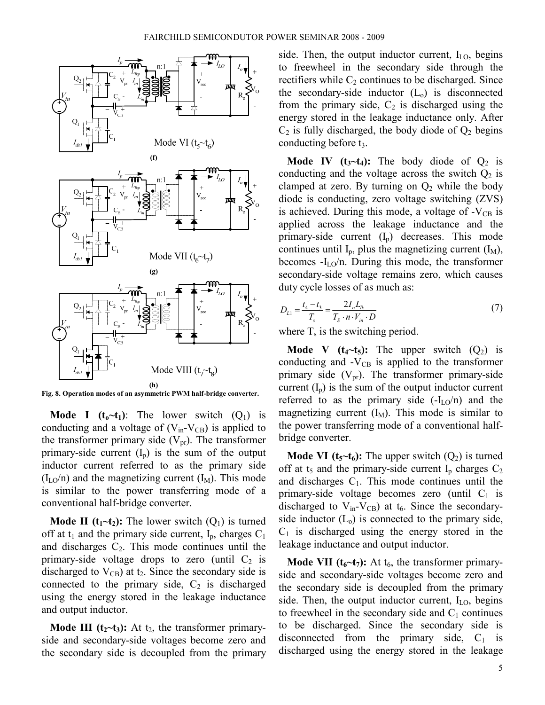

Fig. 8. Operation modes of an asymmetric PWM half-bridge converter.

**Mode I** ( $t_0 \sim t_1$ ): The lower switch (Q<sub>1</sub>) is conducting and a voltage of  $(V_{in} - V_{CB})$  is applied to the transformer primary side  $(V_{pr})$ . The transformer primary-side current  $(I_p)$  is the sum of the output inductor current referred to as the primary side  $(I<sub>LO</sub>/n)$  and the magnetizing current  $(I<sub>M</sub>)$ . This mode is similar to the power transferring mode of a conventional half-bridge converter.

**Mode II (t<sub>1</sub>~t<sub>2</sub>):** The lower switch  $(Q_1)$  is turned off at  $t_1$  and the primary side current,  $I_p$ , charges  $C_1$ and discharges  $C_2$ . This mode continues until the primary-side voltage drops to zero (until  $C_2$  is discharged to  $V_{CB}$ ) at t<sub>2</sub>. Since the secondary side is connected to the primary side,  $C_2$  is discharged using the energy stored in the leakage inductance and output inductor.

**Mode III (t<sub>2</sub>** $-t_3$ **):** At t<sub>2</sub>, the transformer primaryside and secondary-side voltages become zero and the secondary side is decoupled from the primary

side. Then, the output inductor current,  $I_{LO}$ , begins to freewheel in the secondary side through the rectifiers while  $C_2$  continues to be discharged. Since the secondary-side inductor  $(L_0)$  is disconnected from the primary side,  $C_2$  is discharged using the energy stored in the leakage inductance only. After  $C_2$  is fully discharged, the body diode of  $Q_2$  begins conducting before  $t_3$ .

**Mode IV** ( $t_3 \sim t_4$ ): The body diode of  $Q_2$  is conducting and the voltage across the switch  $Q_2$  is clamped at zero. By turning on  $Q_2$  while the body diode is conducting, zero voltage switching (ZVS) is achieved. During this mode, a voltage of  $-V_{CB}$  is applied across the leakage inductance and the primary-side current  $(I_p)$  decreases. This mode continues until  $I_p$ , plus the magnetizing current  $(I_M)$ , becomes  $-I<sub>LO</sub>/n$ . During this mode, the transformer secondary-side voltage remains zero, which causes duty cycle losses of as much as:

$$
D_{L1} = \frac{t_4 - t_3}{T_s} = \frac{2I_o L_{lk}}{T_s \cdot n \cdot V_{in} \cdot D}
$$
(7)

where  $T_s$  is the switching period.

**Mode V** ( $t_4$ ~ $t_5$ ): The upper switch ( $Q_2$ ) is conducting and  $-V_{CB}$  is applied to the transformer primary side  $(V_{pr})$ . The transformer primary-side current  $(I_p)$  is the sum of the output inductor current referred to as the primary side  $(-I<sub>LO</sub>/n)$  and the magnetizing current  $(I_M)$ . This mode is similar to the power transferring mode of a conventional halfbridge converter.

**Mode VI (t<sub>5</sub>~t<sub>6</sub>):** The upper switch  $(Q_2)$  is turned off at  $t_5$  and the primary-side current  $I_p$  charges  $C_2$ and discharges  $C_1$ . This mode continues until the primary-side voltage becomes zero (until  $C_1$  is discharged to  $V_{in}$ - $V_{CB}$ ) at  $t_6$ . Since the secondaryside inductor  $(L_0)$  is connected to the primary side,  $C_1$  is discharged using the energy stored in the leakage inductance and output inductor.

**Mode VII (** $t_6$  $\sim$  $t_7$ ): At  $t_6$ , the transformer primaryside and secondary-side voltages become zero and the secondary side is decoupled from the primary side. Then, the output inductor current,  $I_{LO}$ , begins to freewheel in the secondary side and  $C_1$  continues to be discharged. Since the secondary side is disconnected from the primary side,  $C_1$  is discharged using the energy stored in the leakage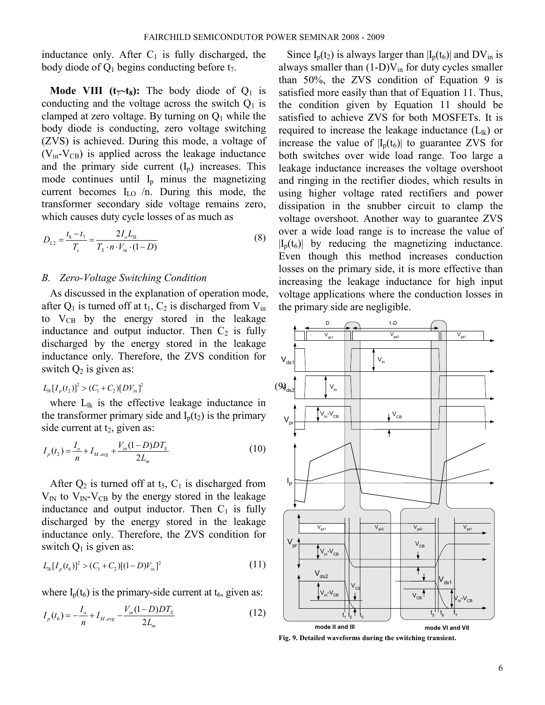inductance only. After  $C_1$  is fully discharged, the body diode of  $Q_1$  begins conducting before  $t_7$ .

**Mode VIII (t<sub>7</sub>** $-t_8$ **):** The body diode of  $Q_1$  is conducting and the voltage across the switch  $Q_1$  is clamped at zero voltage. By turning on  $Q_1$  while the body diode is conducting, zero voltage switching (ZVS) is achieved. During this mode, a voltage of  $(V_{in} - V_{CB})$  is applied across the leakage inductance and the primary side current  $(I_n)$  increases. This mode continues until  $I_p$  minus the magnetizing current becomes  $I_{LO}$  /n. During this mode, the transformer secondary side voltage remains zero, which causes duty cycle losses of as much as

$$
D_{L2} = \frac{t_8 - t_7}{T_s} = \frac{2I_o L_{lk}}{T_s \cdot n \cdot V_{in} \cdot (1 - D)}
$$
(8)

## B. Zero-Voltage Switching Condition

As discussed in the explanation of operation mode, after  $Q_1$  is turned off at  $t_1$ ,  $C_2$  is discharged from  $V_{in}$ to  $V_{CB}$  by the energy stored in the leakage inductance and output inductor. Then  $C_2$  is fully discharged by the energy stored in the leakage inductance only. Therefore, the ZVS condition for switch  $Q_2$  is given as:

# $L_{lk}[I_p(t_2)]^2 > (C_1 + C_2)[DV_{ln}]^2$  (9)<sub>0</sub>

where  $L_{lk}$  is the effective leakage inductance in the transformer primary side and  $I_p(t_2)$  is the primary side current at  $t_2$ , given as:

$$
I_p(t_2) = \frac{I_o}{n} + I_{M,avg} + \frac{V_m(1 - D)DT_S}{2L_m}
$$
\n(10)

After  $Q_2$  is turned off at  $t_5$ ,  $C_1$  is discharged from  $V_{\text{IN}}$  to  $V_{\text{IN}}$ - $V_{\text{CB}}$  by the energy stored in the leakage inductance and output inductor. Then  $C_1$  is fully discharged by the energy stored in the leakage inductance only. Therefore, the ZVS condition for switch  $Q_1$  is given as:

$$
L_{ik}[I_p(t_6)]^2 > (C_1 + C_2)[(1 - D)V_{in}]^2
$$
\n(11)

where  $I_p(t_6)$  is the primary-side current at  $t_6$ , given as:

$$
I_p(t_6) = -\frac{I_o}{n} + I_{M,avg} - \frac{V_m(1 - D)DT_s}{2L_m}
$$
 (12)

Since  $I_p(t_2)$  is always larger than  $|I_p(t_6)|$  and  $DV_{in}$  is always smaller than  $(1-D)V_{in}$  for duty cycles smaller than 50%, the ZVS condition of Equation 9 is satisfied more easily than that of Equation 11. Thus, the condition given by Equation 11 should be satisfied to achieve ZVS for both MOSFETs. It is required to increase the leakage inductance  $(L_{lk})$  or increase the value of  $|I_n(t_6)|$  to guarantee ZVS for both switches over wide load range. Too large a leakage inductance increases the voltage overshoot and ringing in the rectifier diodes, which results in using higher voltage rated rectifiers and power dissipation in the snubber circuit to clamp the voltage overshoot. Another way to guarantee ZVS over a wide load range is to increase the value of  $|I_{p}(t_{6})|$  by reducing the magnetizing inductance. Even though this method increases conduction losses on the primary side, it is more effective than increasing the leakage inductance for high input voltage applications where the conduction losses in the primary side are negligible.



Fig. 9. Detailed waveforms during the switching transient.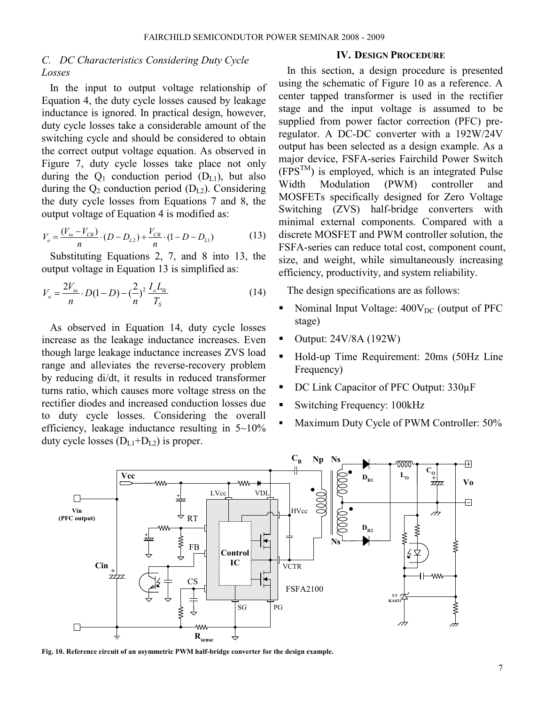# C. DC Characteristics Considering Duty Cycle Losses

In the input to output voltage relationship of Equation 4, the duty cycle losses caused by leakage inductance is ignored. In practical design, however, duty cycle losses take a considerable amount of the switching cycle and should be considered to obtain the correct output voltage equation. As observed in Figure 7, duty cycle losses take place not only during the  $Q_1$  conduction period  $(D_{L1})$ , but also during the  $Q_2$  conduction period ( $D_{L2}$ ). Considering the duty cycle losses from Equations 7 and 8, the output voltage of Equation 4 is modified as:

$$
V_o = \frac{(V_{in} - V_{CB})}{n} \cdot (D - D_{L2}) + \frac{V_{CB}}{n} \cdot (1 - D - D_{L1})
$$
(13)

Substituting Equations 2, 7, and 8 into 13, the output voltage in Equation 13 is simplified as:

$$
V_o = \frac{2V_{in}}{n} \cdot D(1-D) - \left(\frac{2}{n}\right)^2 \frac{I_o L_{lk}}{T_S}
$$
 (14)

As observed in Equation 14, duty cycle losses increase as the leakage inductance increases. Even though large leakage inductance increases ZVS load range and alleviates the reverse-recovery problem by reducing di/dt, it results in reduced transformer turns ratio, which causes more voltage stress on the rectifier diodes and increased conduction losses due to duty cycle losses. Considering the overall efficiency, leakage inductance resulting in 5~10% duty cycle losses  $(D_{L1}+D_{L2})$  is proper.

## IV. DESIGN PROCEDURE

In this section, a design procedure is presented using the schematic of Figure 10 as a reference. A center tapped transformer is used in the rectifier stage and the input voltage is assumed to be supplied from power factor correction (PFC) preregulator. A DC-DC converter with a 192W/24V output has been selected as a design example. As a major device, FSFA-series Fairchild Power Switch  $(FPS^{TM})$  is employed, which is an integrated Pulse<br>Width Modulation (PWM) controller and Width Modulation (PWM) controller and MOSFETs specifically designed for Zero Voltage Switching (ZVS) half-bridge converters with minimal external components. Compared with a discrete MOSFET and PWM controller solution, the FSFA-series can reduce total cost, component count, size, and weight, while simultaneously increasing efficiency, productivity, and system reliability.

The design specifications are as follows:

- Nominal Input Voltage:  $400V_{DC}$  (output of PFC stage)
- $\blacksquare$  Output: 24V/8A (192W)
- Hold-up Time Requirement: 20ms (50Hz Line Frequency)
- DC Link Capacitor of PFC Output: 330uF
- Switching Frequency: 100kHz
- Maximum Duty Cycle of PWM Controller: 50%



Fig. 10. Reference circuit of an asymmetric PWM half-bridge converter for the design example.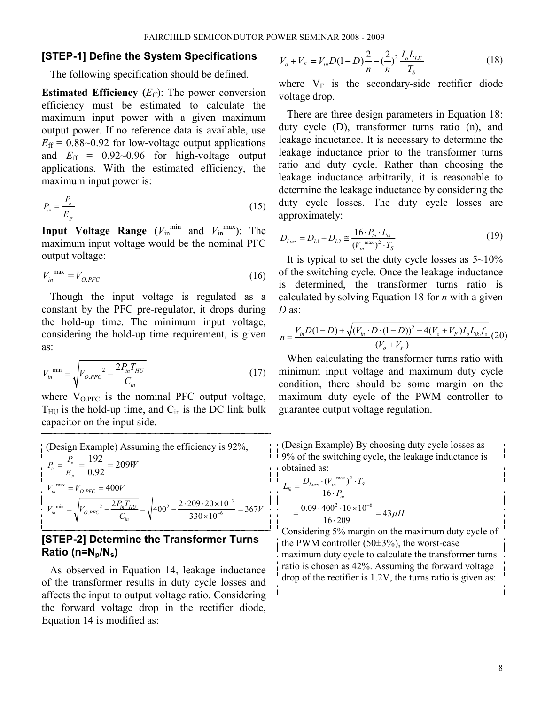## [STEP-1] Define the System Specifications

The following specification should be defined.

**Estimated Efficiency**  $(E_{\text{ff}})$ : The power conversion efficiency must be estimated to calculate the maximum input power with a given maximum output power. If no reference data is available, use  $E_{\text{ff}} = 0.88 \sim 0.92$  for low-voltage output applications and  $E_{\text{ff}}$  = 0.92~0.96 for high-voltage output applications. With the estimated efficiency, the maximum input power is:

$$
P_{\scriptscriptstyle in} = \frac{P_{\scriptscriptstyle o}}{E_{\scriptscriptstyle f}} \tag{15}
$$

**Input Voltage Range** ( $V_{\text{in}}^{\text{min}}$  and  $V_{\text{in}}^{\text{max}}$ ): The maximum input voltage would be the nominal PFC output voltage:

$$
V_{in}^{\text{max}} = V_{O.PFC} \tag{16}
$$

Though the input voltage is regulated as a constant by the PFC pre-regulator, it drops during the hold-up time. The minimum input voltage, considering the hold-up time requirement, is given as:

$$
V_{in}^{\min} = \sqrt{V_{O.PFC}^2 - \frac{2P_{in}T_{HU}}{C_{in}}}
$$
 (17)

where  $V_{OPFC}$  is the nominal PFC output voltage,  $T_{\text{HU}}$  is the hold-up time, and  $C_{\text{in}}$  is the DC link bulk capacitor on the input side.

(Design Example) Assuming the efficiency is 92%,  
\n
$$
P_{in} = \frac{P_o}{E_f} = \frac{192}{0.92} = 209W
$$
\n
$$
V_{in}^{\text{max}} = V_{O.PFC} = 400V
$$
\n
$$
V_{in}^{\text{min}} = \sqrt{V_{O.PFC}^2 - \frac{2P_{in}T_{HU}}{C_{in}}} = \sqrt{400^2 - \frac{2 \cdot 209 \cdot 20 \times 10^{-3}}{330 \times 10^{-6}}} = 367V
$$

# [STEP-2] Determine the Transformer Turns Ratio ( $n=N_p/N_s$ )

As observed in Equation 14, leakage inductance of the transformer results in duty cycle losses and affects the input to output voltage ratio. Considering the forward voltage drop in the rectifier diode, Equation 14 is modified as:

$$
V_o + V_F = V_{in} D(1 - D) \frac{2}{n} - \left(\frac{2}{n}\right)^2 \frac{I_o L_{LK}}{T_S}
$$
 (18)

where  $V_F$  is the secondary-side rectifier diode voltage drop.

There are three design parameters in Equation 18: duty cycle (D), transformer turns ratio (n), and leakage inductance. It is necessary to determine the leakage inductance prior to the transformer turns ratio and duty cycle. Rather than choosing the leakage inductance arbitrarily, it is reasonable to determine the leakage inductance by considering the duty cycle losses. The duty cycle losses are approximately:

$$
D_{Loss} = D_{L1} + D_{L2} \approx \frac{16 \cdot P_{in} \cdot L_{lk}}{(V_{in}^{\text{max}})^2 \cdot T_S}
$$
 (19)

It is typical to set the duty cycle losses as  $5 \sim 10\%$ of the switching cycle. Once the leakage inductance is determined, the transformer turns ratio is calculated by solving Equation 18 for  $n$  with a given D as:

$$
n = \frac{V_{in}D(1-D) + \sqrt{(V_{in} \cdot D \cdot (1-D))^{2} - 4(V_{o} + V_{F})I_{o}L_{lk}f_{s}}}{(V_{o} + V_{F})}
$$
(20)

When calculating the transformer turns ratio with minimum input voltage and maximum duty cycle condition, there should be some margin on the maximum duty cycle of the PWM controller to guarantee output voltage regulation.

(Design Example) By choosing duty cycle losses as 9% of the switching cycle, the leakage inductance is obtained as:

$$
L_{lk} = \frac{D_{Loss} \cdot (V_{in}^{\text{max}})^2 \cdot T_S}{16 \cdot P_{in}}
$$
  
= 
$$
\frac{0.09 \cdot 400^2 \cdot 10 \times 10^{-6}}{16 \cdot 209} = 43 \,\mu H
$$

Considering 5% margin on the maximum duty cycle of the PWM controller (50±3%), the worst-case maximum duty cycle to calculate the transformer turns ratio is chosen as 42%. Assuming the forward voltage drop of the rectifier is 1.2V, the turns ratio is given as: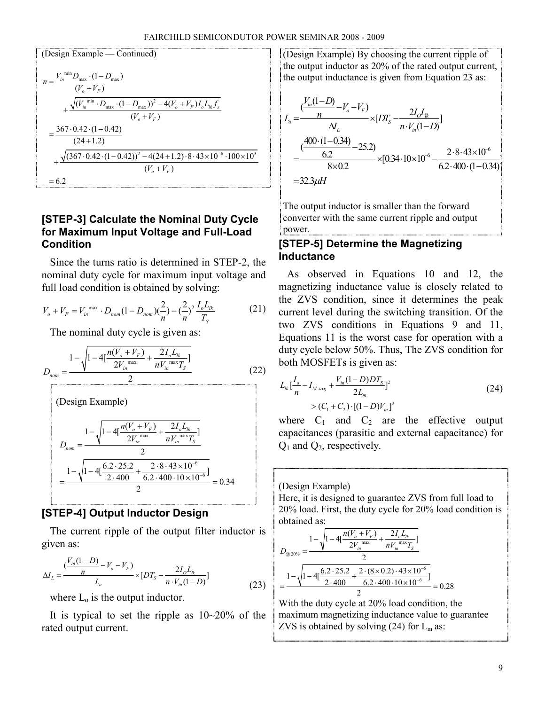(Design Example — Continued)  
\n
$$
n = \frac{V_{in}^{\min} D_{max} \cdot (1 - D_{max})}{(V_o + V_F)}
$$
\n
$$
+ \frac{\sqrt{(V_{in}^{\min} \cdot D_{max} \cdot (1 - D_{max}))^2 - 4(V_o + V_F) I_o L_k f_s}}{(V_o + V_F)}
$$
\n
$$
= \frac{367 \cdot 0.42 \cdot (1 - 0.42)}{(24 + 1.2)}
$$
\n
$$
+ \frac{\sqrt{(367 \cdot 0.42 \cdot (1 - 0.42))^2 - 4(24 + 1.2) \cdot 8 \cdot 43 \times 10^{-6} \cdot 100 \times 10^3}}{(V_o + V_F)}
$$
\n= 6.2

# [STEP-3] Calculate the Nominal Duty Cycle for Maximum Input Voltage and Full-Load Condition

Since the turns ratio is determined in STEP-2, the nominal duty cycle for maximum input voltage and full load condition is obtained by solving:

$$
V_o + V_F = V_{in}^{\text{max}} \cdot D_{nom} (1 - D_{nom}) \left(\frac{2}{n}\right) - \left(\frac{2}{n}\right)^2 \frac{I_o L_{lk}}{T_S}
$$
 (21)

The nominal duty cycle is given as:

$$
D_{nom} = \frac{1 - \sqrt{1 - 4[\frac{n(V_o + V_F)}{2V_{im} \text{max}} + \frac{2I_o L_{lk}}{nV_{im} \text{max} T_S}]} \qquad (22)
$$
  
\n(Design Example)  
\n
$$
D_{nom} = \frac{1 - \sqrt{1 - 4[\frac{n(V_o + V_F)}{2V_{im} \text{max}} + \frac{2I_o L_{lk}}{nV_{im} \text{max} T_S}]} \qquad D_{nom} = \frac{1 - \sqrt{1 - 4[\frac{6.2 \cdot 25.2}{2 \cdot 400} + \frac{2 \cdot 8 \cdot 43 \times 10^{-6}}{6.2 \cdot 400 \cdot 10 \times 10^{-6}}]} \qquad 2
$$
  
\n= 
$$
\frac{1 - \sqrt{1 - 4[\frac{6.2 \cdot 25.2}{2 \cdot 400} + \frac{2 \cdot 8 \cdot 43 \times 10^{-6}}{6.2 \cdot 400 \cdot 10 \times 10^{-6}}]} = 0.34
$$

# [STEP-4] Output Inductor Design

2

The current ripple of the output filter inductor is given as:

$$
\Delta I_L = \frac{\left(\frac{V_{in}(1-D)}{n} - V_o - V_F\right)}{L_o} \times [DT_S - \frac{2I_oL_k}{n \cdot V_{in}(1-D)}]
$$
(23)

where  $L_0$  is the output inductor.

It is typical to set the ripple as  $10~20\%$  of the rated output current.

(Design Example) By choosing the current ripple of the output inductor as 20% of the rated output current, the output inductance is given from Equation 23 as:

$$
L_o = \frac{\left(\frac{V_m(1-D)}{n} - V_o - V_F\right)}{\Delta L} \times [DT_s - \frac{2I_oL_w}{n \cdot V_m(1-D)}]
$$
  
= 
$$
\frac{\left(\frac{400 \cdot (1-0.34)}{6.2} - 25.2\right)}{8 \times 0.2} \times [0.34 \cdot 10 \times 10^{-6} - \frac{2 \cdot 8 \cdot 43 \times 10^{-6}}{6.2 \cdot 400 \cdot (1-0.34)}] = 32.3 \mu H
$$

The output inductor is smaller than the forward converter with the same current ripple and output power.

# [STEP-5] Determine the Magnetizing Inductance

As observed in Equations 10 and 12, the magnetizing inductance value is closely related to the ZVS condition, since it determines the peak current level during the switching transition. Of the two ZVS conditions in Equations 9 and 11, Equations 11 is the worst case for operation with a duty cycle below 50%. Thus, The ZVS condition for both MOSFETs is given as:

$$
L_{lk} \left[ \frac{I_o}{n} - I_{M,\text{avg}} + \frac{V_{in}(1-D)DT_S}{2L_m} \right]^2
$$
  
>  $(C_1 + C_2) \cdot [(1-D)V_{in}]^2$  (24)

where  $C_1$  and  $C_2$  are the effective output capacitances (parasitic and external capacitance) for  $Q_1$  and  $Q_2$ , respectively.

(Design Example)

Here, it is designed to guarantee ZVS from full load to 20% load. First, the duty cycle for 20% load condition is obtained as:

$$
D_{@20\%} = \frac{1 - \sqrt{1 - 4\left[\frac{n(V_o + V_F)}{2V_{in}^{\text{max}}} + \frac{2I_o L_{lk}}{nV_{in}^{\text{max}}T_S}\right]}}{2}
$$
  
= 
$$
\frac{1 - \sqrt{1 - 4\left[\frac{6.2 \cdot 25.2}{2 \cdot 400} + \frac{2 \cdot (8 \times 0.2) \cdot 43 \times 10^{-6}}{6.2 \cdot 400 \cdot 10 \times 10^{-6}}\right]}}{2} = 0.28
$$

With the duty cycle at 20% load condition, the maximum magnetizing inductance value to guarantee ZVS is obtained by solving (24) for  $L_m$  as: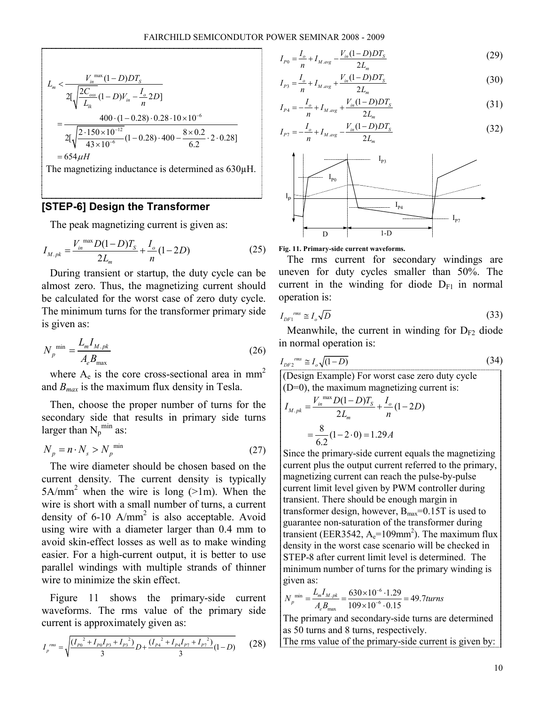$$
L_m < \frac{V_{in}^{\text{max}}(1 - D)DT_s}{2[\sqrt{\frac{2C_{os}}{L_{ik}}}(1 - D)V_{in} - \frac{I_o}{n}2D]}
$$
  
= 
$$
\frac{400 \cdot (1 - 0.28) \cdot 0.28 \cdot 10 \times 10^{-6}}{2[\sqrt{\frac{2 \cdot 150 \times 10^{-12}}{43 \times 10^{-6}}}(1 - 0.28) \cdot 400 - \frac{8 \times 0.2}{6.2} \cdot 2 \cdot 0.28]}
$$
  
= 654 $\mu$ H

The magnetizing inductance is determined as 630µH.

## [STEP-6] Design the Transformer

The peak magnetizing current is given as:

$$
I_{M.pk} = \frac{V_{in}^{\text{max}} D(1 - D)T_S}{2L_m} + \frac{I_o}{n} (1 - 2D) \tag{25}
$$

During transient or startup, the duty cycle can be almost zero. Thus, the magnetizing current should be calculated for the worst case of zero duty cycle. The minimum turns for the transformer primary side is given as:

$$
N_p^{\min} = \frac{L_m I_{M.pk}}{A_e B_{\max}}\tag{26}
$$

where  $A_e$  is the core cross-sectional area in mm<sup>2</sup> and  $B_{max}$  is the maximum flux density in Tesla.

Then, choose the proper number of turns for the secondary side that results in primary side turns larger than  $N_p^{\min}$  as:

$$
N_p = n \cdot N_s > N_p^{\min} \tag{27}
$$

The wire diameter should be chosen based on the current density. The current density is typically  $5A/mm<sup>2</sup>$  when the wire is long ( $>1m$ ). When the wire is short with a small number of turns, a current density of  $6-10$  A/mm<sup>2</sup> is also acceptable. Avoid using wire with a diameter larger than 0.4 mm to avoid skin-effect losses as well as to make winding easier. For a high-current output, it is better to use parallel windings with multiple strands of thinner wire to minimize the skin effect.

Figure 11 shows the primary-side current waveforms. The rms value of the primary side current is approximately given as:

$$
I_p^{rms} = \sqrt{\frac{(I_{P0}^2 + I_{P0}I_{P3} + I_{P3}^2)}{3}D + \frac{(I_{P4}^2 + I_{P4}I_{P7} + I_{P7}^2)}{3}(1 - D)}
$$
(28)

$$
I_{p_0} = \frac{I_o}{n} + I_{M,\text{avg}} - \frac{V_{in}(1 - D)DT_S}{2L_m} \tag{29}
$$

$$
I_{P3} = \frac{I_o}{n} + I_{M,avg} + \frac{V_{in}(1 - D)DT_S}{2L_m}
$$
\n(30)

$$
I_{P4} = -\frac{I_o}{n} + I_{M,\text{avg}} + \frac{V_{in}(1 - D)DT_S}{2L_m} \tag{31}
$$

$$
I_{P7} = -\frac{I_o}{n} + I_{M,avg} - \frac{V_{in}(1 - D)DT_S}{2L_m}
$$
 (32)



#### Fig. 11. Primary-side current waveforms.

The rms current for secondary windings are uneven for duty cycles smaller than 50%. The current in the winding for diode  $D_{F1}$  in normal operation is:

$$
I_{DF1}^{rms} \cong I_o \sqrt{D} \tag{33}
$$

Meanwhile, the current in winding for  $D_{F2}$  diode in normal operation is:

$$
I_{DF2}^{rms} \cong I_o \sqrt{(1 - D)}
$$
(34)  
(Design Example) For worst case zero duty cycle  
(D=0), the maximum magnetizing current is:  

$$
I_{M.pk} = \frac{V_{in}}{2L_m} \frac{D(1 - D)T_s}{n} + \frac{I_o}{n} (1 - 2D)
$$

$$
= \frac{8}{6.2} (1 - 2 \cdot 0) = 1.29 A
$$

Since the primary-side current equals the magnetizing current plus the output current referred to the primary, magnetizing current can reach the pulse-by-pulse current limit level given by PWM controller during transient. There should be enough margin in transformer design, however,  $B_{\text{max}}=0.15T$  is used to guarantee non-saturation of the transformer during transient (EER3542,  $A_e = 109$ mm<sup>2</sup>). The maximum flux density in the worst case scenario will be checked in STEP-8 after current limit level is determined. The minimum number of turns for the primary winding is given as:

$$
N_p^{\text{min}} = \frac{L_m I_{M,pk}}{A_e B_{\text{max}}} = \frac{630 \times 10^{-6} \cdot 1.29}{109 \times 10^{-6} \cdot 0.15} = 49.7 \text{turns}
$$

The primary and secondary-side turns are determined as 50 turns and 8 turns, respectively.

The rms value of the primary-side current is given by: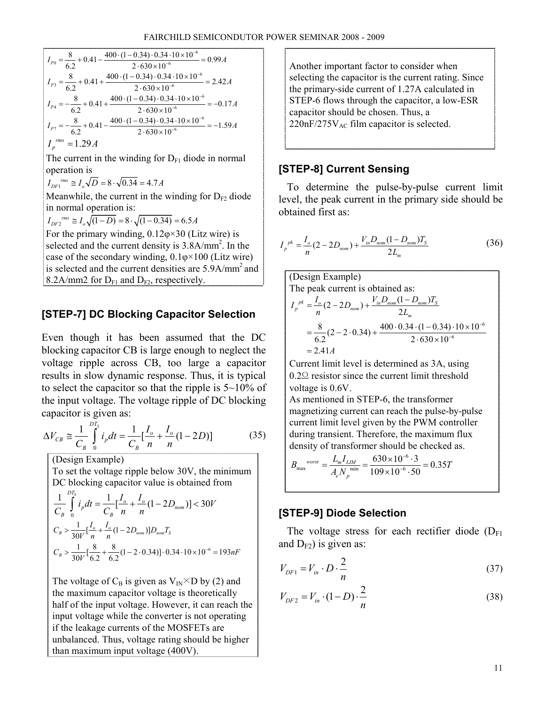$$
I_{p_0} = \frac{8}{6.2} + 0.41 - \frac{400 \cdot (1 - 0.34) \cdot 0.34 \cdot 10 \times 10^{-6}}{2 \cdot 630 \times 10^{-6}} = 0.99A
$$
  
\n
$$
I_{p_3} = \frac{8}{6.2} + 0.41 + \frac{400 \cdot (1 - 0.34) \cdot 0.34 \cdot 10 \times 10^{-6}}{2 \cdot 630 \times 10^{-6}} = 2.42A
$$
  
\n
$$
I_{p_4} = -\frac{8}{6.2} + 0.41 + \frac{400 \cdot (1 - 0.34) \cdot 0.34 \cdot 10 \times 10^{-6}}{2 \cdot 630 \times 10^{-6}} = -0.17A
$$
  
\n
$$
I_{p_7} = -\frac{8}{6.2} + 0.41 - \frac{400 \cdot (1 - 0.34) \cdot 0.34 \cdot 10 \times 10^{-6}}{2 \cdot 630 \times 10^{-6}} = -1.59A
$$
  
\n
$$
I_p^{rms} = 1.29A
$$

The current in the winding for  $D_{F1}$  diode in normal operation is

$$
I_{DF1}^{rms} \cong I_o \sqrt{D} = 8 \cdot \sqrt{0.34} = 4.7 A
$$

Meanwhile, the current in the winding for  $D_{F2}$  diode in normal operation is:

$$
I_{DF2}^{rms} \approx I_o \sqrt{(1-D)} = 8 \cdot \sqrt{(1-0.34)} = 6.5A
$$

For the primary winding,  $0.12\varphi \times 30$  (Litz wire) is selected and the current density is  $3.8$ A/mm<sup>2</sup>. In the case of the secondary winding,  $0.1\phi \times 100$  (Litz wire) is selected and the current densities are  $5.9A/mm<sup>2</sup>$  and 8.2A/mm2 for  $D_{F1}$  and  $D_{F2}$ , respectively.

# [STEP-7] DC Blocking Capacitor Selection

Even though it has been assumed that the DC blocking capacitor CB is large enough to neglect the voltage ripple across CB, too large a capacitor results in slow dynamic response. Thus, it is typical to select the capacitor so that the ripple is  $5 \sim 10\%$  of the input voltage. The voltage ripple of DC blocking capacitor is given as:

$$
\Delta V_{CB} \cong \frac{1}{C_B} \int_{0}^{D T_S} i_p dt = \frac{1}{C_B} \left[ \frac{I_o}{n} + \frac{I_o}{n} (1 - 2D) \right]
$$
(35)

(Design Example)

To set the voltage ripple below 30V, the minimum DC blocking capacitor value is obtained from

$$
\frac{1}{C_B} \int_{0}^{D T_S} i_p dt = \frac{1}{C_B} \Big[ \frac{I_o}{n} + \frac{I_o}{n} (1 - 2D_{nom}) \Big] < 30V
$$
  

$$
C_B > \frac{1}{30V} \Big[ \frac{I_o}{n} + \frac{I_o}{n} (1 - 2D_{nom}) \Big] D_{nom} T_S
$$
  

$$
C_B > \frac{1}{30V} \Big[ \frac{8}{6.2} + \frac{8}{6.2} (1 - 2 \cdot 0.34) \Big] \cdot 0.34 \cdot 10 \times 10^{-6} = 193nF
$$

The voltage of  $C_B$  is given as  $V_{IN} \times D$  by (2) and the maximum capacitor voltage is theoretically half of the input voltage. However, it can reach the input voltage while the converter is not operating if the leakage currents of the MOSFETs are unbalanced. Thus, voltage rating should be higher than maximum input voltage (400V).

Another important factor to consider when selecting the capacitor is the current rating. Since the primary-side current of 1.27A calculated in STEP-6 flows through the capacitor, a low-ESR capacitor should be chosen. Thus, a  $220nF/275V_{AC}$  film capacitor is selected.

# [STEP-8] Current Sensing

To determine the pulse-by-pulse current limit level, the peak current in the primary side should be obtained first as:

$$
I_p^{pk} = \frac{I_o}{n} (2 - 2D_{nom}) + \frac{V_{in} D_{nom} (1 - D_{nom}) T_s}{2L_m}
$$
 (36)

(Design Example)  
\nThe peak current is obtained as:  
\n
$$
I_p^{pk} = \frac{I_o}{n} (2 - 2D_{nom}) + \frac{V_{in}D_{nom} (1 - D_{nom})T_s}{2L_m}
$$
\n
$$
= \frac{8}{6.2} (2 - 2 \cdot 0.34) + \frac{400 \cdot 0.34 \cdot (1 - 0.34) \cdot 10 \times 10^{-6}}{2 \cdot 630 \times 10^{-6}}
$$
\n= 2.41A

Current limit level is determined as 3A, using 0.2Ω resistor since the current limit threshold voltage is 0.6V.

As mentioned in STEP-6, the transformer magnetizing current can reach the pulse-by-pulse current limit level given by the PWM controller during transient. Therefore, the maximum flux density of transformer should be checked as.

$$
B_{\text{max}}^{\text{worst}} = \frac{L_m I_{\text{LM}}}{A_e N_p^{\text{min}}} = \frac{630 \times 10^{-6} \cdot 3}{109 \times 10^{-6} \cdot 50} = 0.35T
$$

# [STEP-9] Diode Selection

The voltage stress for each rectifier diode  $(D_{F1})$ and  $D_{F2}$ ) is given as:

$$
V_{DF1} = V_{in} \cdot D \cdot \frac{2}{n}
$$
 (37)

$$
V_{DF2} = V_{in} \cdot (1 - D) \cdot \frac{2}{n}
$$
 (38)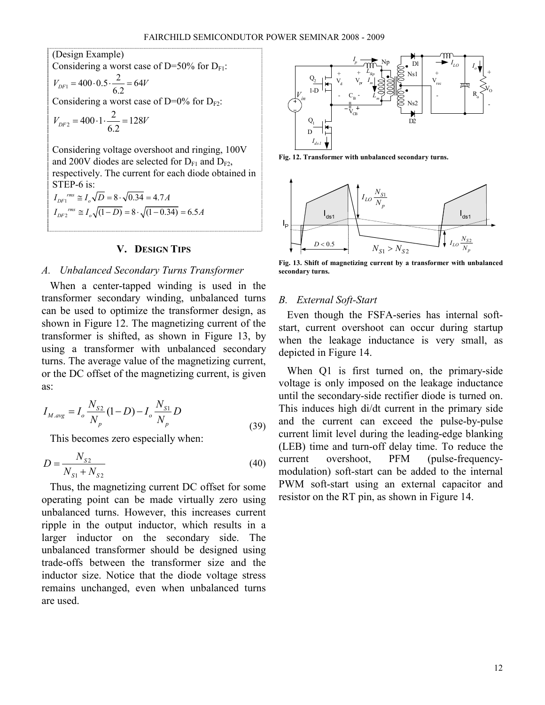(Design Example)  
\nConsidering a worst case of D=50% for D<sub>F1</sub>:  
\n
$$
V_{DF1} = 400 \cdot 0.5 \cdot \frac{2}{6.2} = 64V
$$
  
\nConsidering a worst case of D=0% for D<sub>F2</sub>:  
\n $V_{DF2} = 400 \cdot 1 \cdot \frac{2}{6.2} = 128V$   
\nConsidering voltage overshoot and ringing, 100V  
\nand 200V diodes are selected for D<sub>F1</sub> and D<sub>F2</sub>,  
\nrespectively. The current for each diode obtained in  
\nSTEP-6 is:

$$
I_{DF1}^{rms} \cong I_o \sqrt{D} = 8 \cdot \sqrt{0.34} = 4.7 A
$$
  

$$
I_{DF2}^{rms} \cong I_o \sqrt{(1-D)} = 8 \cdot \sqrt{(1-0.34)} = 6.5 A
$$

#### V. DESIGN TIPS

#### A. Unbalanced Secondary Turns Transformer

When a center-tapped winding is used in the transformer secondary winding, unbalanced turns can be used to optimize the transformer design, as shown in Figure 12. The magnetizing current of the transformer is shifted, as shown in Figure 13, by using a transformer with unbalanced secondary turns. The average value of the magnetizing current, or the DC offset of the magnetizing current, is given as:

$$
I_{M,\text{avg}} = I_o \frac{N_{S2}}{N_p} (1 - D) - I_o \frac{N_{S1}}{N_p} D
$$
\n(39)

This becomes zero especially when:

$$
D = \frac{N_{S2}}{N_{S1} + N_{S2}}\tag{40}
$$

Thus, the magnetizing current DC offset for some operating point can be made virtually zero using unbalanced turns. However, this increases current ripple in the output inductor, which results in a larger inductor on the secondary side. The unbalanced transformer should be designed using trade-offs between the transformer size and the inductor size. Notice that the diode voltage stress remains unchanged, even when unbalanced turns are used.



Fig. 12. Transformer with unbalanced secondary turns.



Fig. 13. Shift of magnetizing current by a transformer with unbalanced secondary turns.

#### B. External Soft-Start

Even though the FSFA-series has internal softstart, current overshoot can occur during startup when the leakage inductance is very small, as depicted in Figure 14.

When Q1 is first turned on, the primary-side voltage is only imposed on the leakage inductance until the secondary-side rectifier diode is turned on. This induces high di/dt current in the primary side and the current can exceed the pulse-by-pulse current limit level during the leading-edge blanking (LEB) time and turn-off delay time. To reduce the current overshoot, PFM (pulse-frequencymodulation) soft-start can be added to the internal PWM soft-start using an external capacitor and resistor on the RT pin, as shown in Figure 14.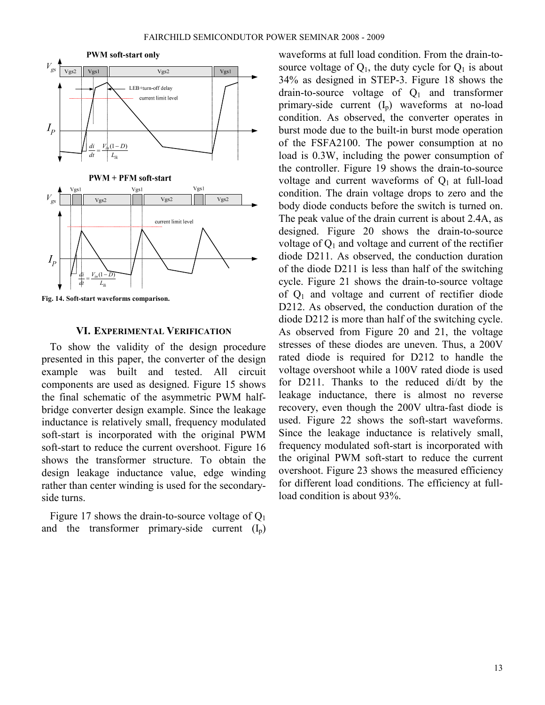

Fig. 14. Soft-start waveforms comparison.

#### VI. EXPERIMENTAL VERIFICATION

To show the validity of the design procedure presented in this paper, the converter of the design example was built and tested. All circuit components are used as designed. Figure 15 shows the final schematic of the asymmetric PWM halfbridge converter design example. Since the leakage inductance is relatively small, frequency modulated soft-start is incorporated with the original PWM soft-start to reduce the current overshoot. Figure 16 shows the transformer structure. To obtain the design leakage inductance value, edge winding rather than center winding is used for the secondaryside turns.

Figure 17 shows the drain-to-source voltage of  $Q_1$ and the transformer primary-side current  $(I_p)$  waveforms at full load condition. From the drain-tosource voltage of  $Q_1$ , the duty cycle for  $Q_1$  is about 34% as designed in STEP-3. Figure 18 shows the drain-to-source voltage of  $Q_1$  and transformer primary-side current  $(I_n)$  waveforms at no-load condition. As observed, the converter operates in burst mode due to the built-in burst mode operation of the FSFA2100. The power consumption at no load is 0.3W, including the power consumption of the controller. Figure 19 shows the drain-to-source voltage and current waveforms of  $Q_1$  at full-load condition. The drain voltage drops to zero and the body diode conducts before the switch is turned on. The peak value of the drain current is about 2.4A, as designed. Figure 20 shows the drain-to-source voltage of  $Q_1$  and voltage and current of the rectifier diode D211. As observed, the conduction duration of the diode D211 is less than half of the switching cycle. Figure 21 shows the drain-to-source voltage of  $Q_1$  and voltage and current of rectifier diode D212. As observed, the conduction duration of the diode D212 is more than half of the switching cycle. As observed from Figure 20 and 21, the voltage stresses of these diodes are uneven. Thus, a 200V rated diode is required for D212 to handle the voltage overshoot while a 100V rated diode is used for D211. Thanks to the reduced di/dt by the leakage inductance, there is almost no reverse recovery, even though the 200V ultra-fast diode is used. Figure 22 shows the soft-start waveforms. Since the leakage inductance is relatively small, frequency modulated soft-start is incorporated with the original PWM soft-start to reduce the current overshoot. Figure 23 shows the measured efficiency for different load conditions. The efficiency at fullload condition is about 93%.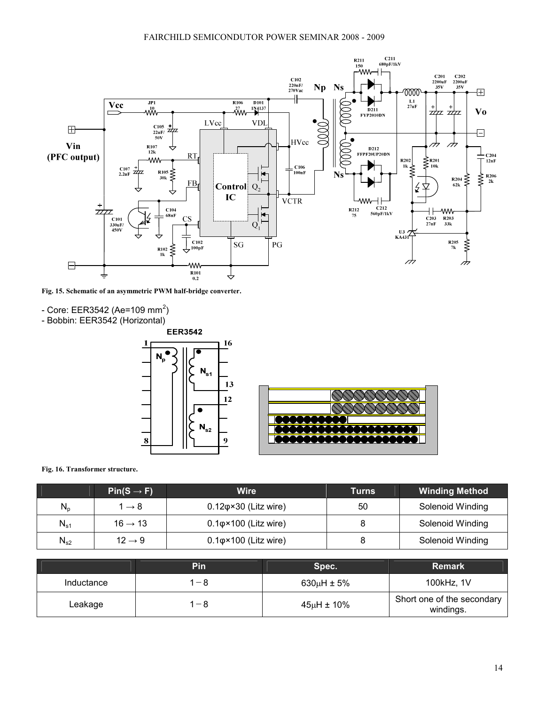

Fig. 15. Schematic of an asymmetric PWM half-bridge converter.

- Core: EER3542 (Ae=109 mm<sup>2</sup>)
- Bobbin: EER3542 (Horizontal)



Fig. 16. Transformer structure.

|                            | $Pin(S \rightarrow F)$ | Wire                                | Turns | <b>Winding Method</b> |
|----------------------------|------------------------|-------------------------------------|-------|-----------------------|
| $N_{p}$                    | 1 $\rightarrow$ 8      | $0.12\varphi \times 30$ (Litz wire) | 50    | Solenoid Winding      |
| $N_{s1}$                   | $16 \rightarrow 13$    | $0.1\phi \times 100$ (Litz wire)    |       | Solenoid Winding      |
| $\mathsf{N}_{\mathsf{s}2}$ | $12 \rightarrow 9$     | $0.1\varphi \times 100$ (Litz wire) |       | Solenoid Winding      |

|            | <b>Pin</b> | Spec.              | <b>Remark</b>                           |
|------------|------------|--------------------|-----------------------------------------|
| Inductance | -8         | $630\mu H \pm 5\%$ | 100kHz, 1V                              |
| ∟eakage    | $-8$       | $45\mu H \pm 10\%$ | Short one of the secondary<br>windings. |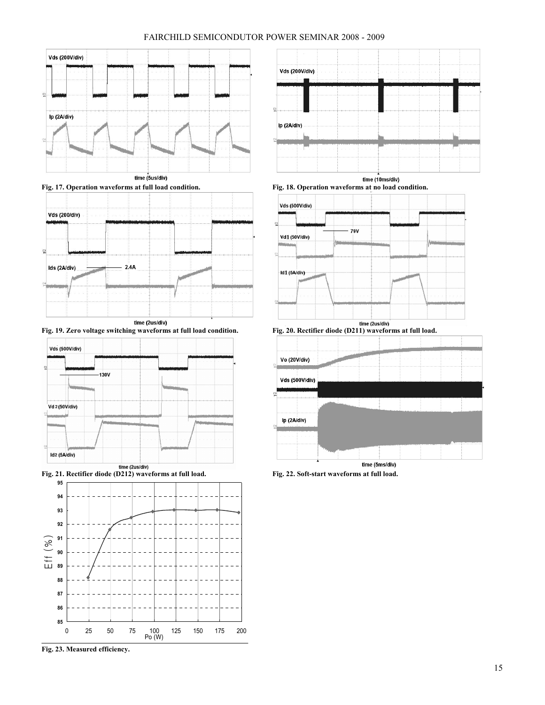#### FAIRCHILD SEMICONDUTOR POWER SEMINAR 2008 - 2009



time (5us/div)



Fig. 19. Zero voltage switching waveforms at full load condition. Fig. 20. Rectifier diode (D211) waveforms at full load.





Fig. 23. Measured efficiency.



time (10ms/div) Fig. 17. Operation waveforms at full load condition. Fig. 18. Operation waveforms at no load condition.